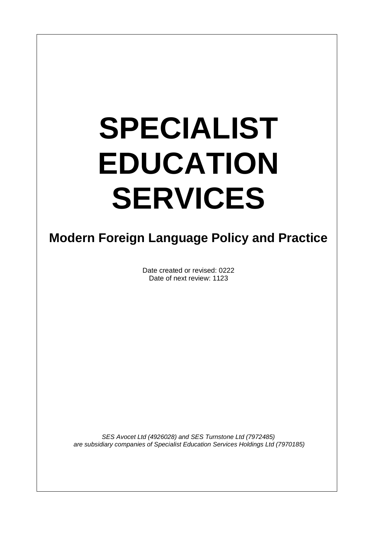# **SPECIALIST EDUCATION SERVICES**

 $\overline{\phantom{a}}$ 

# **Modern Foreign Language Policy and Practice**

Date created or revised: 0222 Date of next review: 1123

*SES Avocet Ltd (4926028) and SES Turnstone Ltd (7972485) are subsidiary companies of Specialist Education Services Holdings Ltd (7970185)*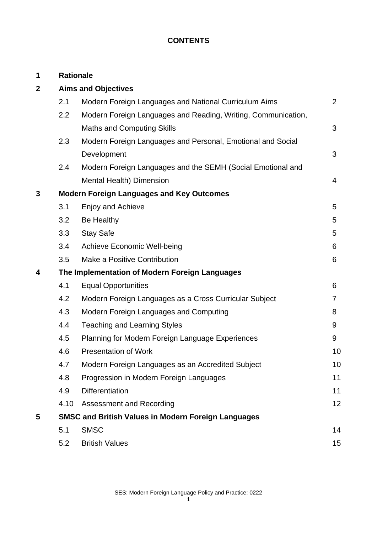# **CONTENTS**

| 1           |                            | <b>Rationale</b>                                              |                |
|-------------|----------------------------|---------------------------------------------------------------|----------------|
| $\mathbf 2$ | <b>Aims and Objectives</b> |                                                               |                |
|             | 2.1                        | Modern Foreign Languages and National Curriculum Aims         | $\overline{2}$ |
|             | 2.2                        | Modern Foreign Languages and Reading, Writing, Communication, |                |
|             |                            | <b>Maths and Computing Skills</b>                             | 3              |
|             | 2.3                        | Modern Foreign Languages and Personal, Emotional and Social   |                |
|             |                            | Development                                                   | 3              |
|             | 2.4                        | Modern Foreign Languages and the SEMH (Social Emotional and   |                |
|             |                            | Mental Health) Dimension                                      | $\overline{4}$ |
| 3           |                            | <b>Modern Foreign Languages and Key Outcomes</b>              |                |
|             | 3.1                        | <b>Enjoy and Achieve</b>                                      | 5              |
|             | 3.2                        | Be Healthy                                                    | 5              |
|             | 3.3                        | <b>Stay Safe</b>                                              | 5              |
|             | 3.4                        | <b>Achieve Economic Well-being</b>                            | 6              |
|             | 3.5                        | Make a Positive Contribution                                  | 6              |
| 4           |                            | The Implementation of Modern Foreign Languages                |                |
|             | 4.1                        | <b>Equal Opportunities</b>                                    | 6              |
|             | 4.2                        | Modern Foreign Languages as a Cross Curricular Subject        | $\overline{7}$ |
|             | 4.3                        | Modern Foreign Languages and Computing                        | 8              |
|             | 4.4                        | <b>Teaching and Learning Styles</b>                           | 9              |
|             | 4.5                        | Planning for Modern Foreign Language Experiences              | 9              |
|             | 4.6                        | <b>Presentation of Work</b>                                   | 10             |
|             | 4.7                        | Modern Foreign Languages as an Accredited Subject             | 10             |
|             | 4.8                        | Progression in Modern Foreign Languages                       | 11             |
|             | 4.9                        | <b>Differentiation</b>                                        | 11             |
|             | 4.10                       | Assessment and Recording                                      | 12             |
| 5           |                            | <b>SMSC and British Values in Modern Foreign Languages</b>    |                |
|             | 5.1                        | <b>SMSC</b>                                                   | 14             |
|             | 5.2                        | <b>British Values</b>                                         | 15             |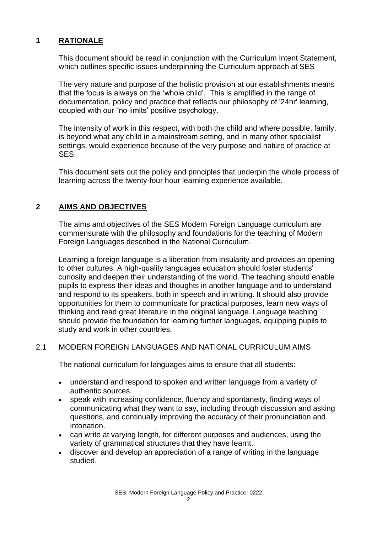# **1 RATIONALE**

This document should be read in conjunction with the Curriculum Intent Statement, which outlines specific issues underpinning the Curriculum approach at SES

The very nature and purpose of the holistic provision at our establishments means that the focus is always on the 'whole child'. This is amplified in the range of documentation, policy and practice that reflects our philosophy of '24hr' learning, coupled with our "no limits' positive psychology.

The intensity of work in this respect, with both the child and where possible, family, is beyond what any child in a mainstream setting, and in many other specialist settings, would experience because of the very purpose and nature of practice at SES.

This document sets out the policy and principles that underpin the whole process of learning across the twenty-four hour learning experience available.

# **2 AIMS AND OBJECTIVES**

The aims and objectives of the SES Modern Foreign Language curriculum are commensurate with the philosophy and foundations for the teaching of Modern Foreign Languages described in the National Curriculum.

Learning a foreign language is a liberation from insularity and provides an opening to other cultures. A high-quality languages education should foster students' curiosity and deepen their understanding of the world. The teaching should enable pupils to express their ideas and thoughts in another language and to understand and respond to its speakers, both in speech and in writing. It should also provide opportunities for them to communicate for practical purposes, learn new ways of thinking and read great literature in the original language. Language teaching should provide the foundation for learning further languages, equipping pupils to study and work in other countries.

#### 2.1 MODERN FOREIGN LANGUAGES AND NATIONAL CURRICULUM AIMS

The national curriculum for languages aims to ensure that all students:

- understand and respond to spoken and written language from a variety of authentic sources.
- speak with increasing confidence, fluency and spontaneity, finding ways of communicating what they want to say, including through discussion and asking questions, and continually improving the accuracy of their pronunciation and intonation.
- can write at varying length, for different purposes and audiences, using the variety of grammatical structures that they have learnt.
- discover and develop an appreciation of a range of writing in the language studied.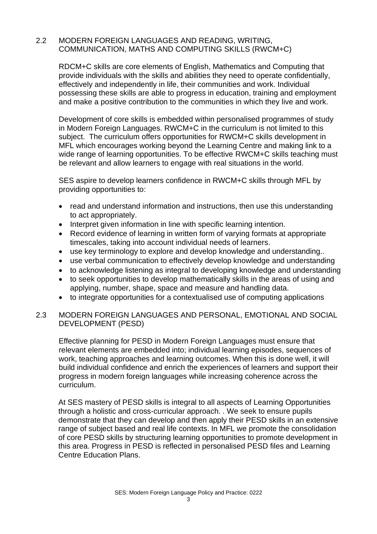## 2.2 MODERN FOREIGN LANGUAGES AND READING, WRITING, COMMUNICATION, MATHS AND COMPUTING SKILLS (RWCM+C)

RDCM+C skills are core elements of English, Mathematics and Computing that provide individuals with the skills and abilities they need to operate confidentially, effectively and independently in life, their communities and work. Individual possessing these skills are able to progress in education, training and employment and make a positive contribution to the communities in which they live and work.

Development of core skills is embedded within personalised programmes of study in Modern Foreign Languages. RWCM+C in the curriculum is not limited to this subject. The curriculum offers opportunities for RWCM+C skills development in MFL which encourages working beyond the Learning Centre and making link to a wide range of learning opportunities. To be effective RWCM+C skills teaching must be relevant and allow learners to engage with real situations in the world.

SES aspire to develop learners confidence in RWCM+C skills through MFL by providing opportunities to:

- read and understand information and instructions, then use this understanding to act appropriately.
- Interpret given information in line with specific learning intention.
- Record evidence of learning in written form of varying formats at appropriate timescales, taking into account individual needs of learners.
- use key terminology to explore and develop knowledge and understanding..
- use verbal communication to effectively develop knowledge and understanding
- to acknowledge listening as integral to developing knowledge and understanding
- to seek opportunities to develop mathematically skills in the areas of using and applying, number, shape, space and measure and handling data.
- to integrate opportunities for a contextualised use of computing applications

# 2.3 MODERN FOREIGN LANGUAGES AND PERSONAL, EMOTIONAL AND SOCIAL DEVELOPMENT (PESD)

Effective planning for PESD in Modern Foreign Languages must ensure that relevant elements are embedded into; individual learning episodes, sequences of work, teaching approaches and learning outcomes. When this is done well, it will build individual confidence and enrich the experiences of learners and support their progress in modern foreign languages while increasing coherence across the curriculum.

At SES mastery of PESD skills is integral to all aspects of Learning Opportunities through a holistic and cross-curricular approach. . We seek to ensure pupils demonstrate that they can develop and then apply their PESD skills in an extensive range of subject based and real life contexts. In MFL we promote the consolidation of core PESD skills by structuring learning opportunities to promote development in this area. Progress in PESD is reflected in personalised PESD files and Learning Centre Education Plans.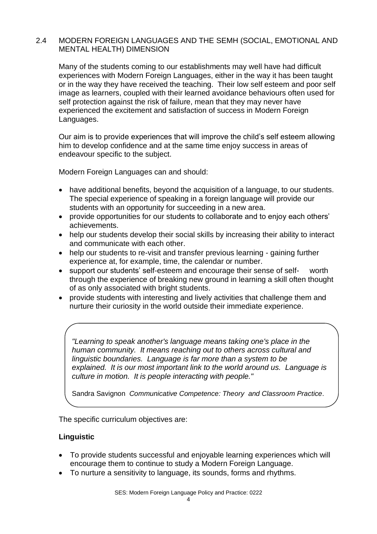## 2.4 MODERN FOREIGN LANGUAGES AND THE SEMH (SOCIAL, EMOTIONAL AND MENTAL HEALTH) DIMENSION

Many of the students coming to our establishments may well have had difficult experiences with Modern Foreign Languages, either in the way it has been taught or in the way they have received the teaching. Their low self esteem and poor self image as learners, coupled with their learned avoidance behaviours often used for self protection against the risk of failure, mean that they may never have experienced the excitement and satisfaction of success in Modern Foreign Languages.

Our aim is to provide experiences that will improve the child's self esteem allowing him to develop confidence and at the same time enjoy success in areas of endeavour specific to the subject.

Modern Foreign Languages can and should:

- have additional benefits, beyond the acquisition of a language, to our students. The special experience of speaking in a foreign language will provide our students with an opportunity for succeeding in a new area.
- provide opportunities for our students to collaborate and to enjoy each others' achievements.
- help our students develop their social skills by increasing their ability to interact and communicate with each other.
- help our students to re-visit and transfer previous learning gaining further experience at, for example, time, the calendar or number.
- support our students' self-esteem and encourage their sense of self- worth through the experience of breaking new ground in learning a skill often thought of as only associated with bright students.
- provide students with interesting and lively activities that challenge them and nurture their curiosity in the world outside their immediate experience.

*"Learning to speak another's language means taking one's place in the human community. It means reaching out to others across cultural and linguistic boundaries. Language is far more than a system to be explained. It is our most important link to the world around us. Language is culture in motion. It is people interacting with people."*

Sandra Savignon *Communicative Competence: Theory and Classroom Practice*.

The specific curriculum objectives are:

#### **Linguistic**

- To provide students successful and enjoyable learning experiences which will encourage them to continue to study a Modern Foreign Language.
- To nurture a sensitivity to language, its sounds, forms and rhythms.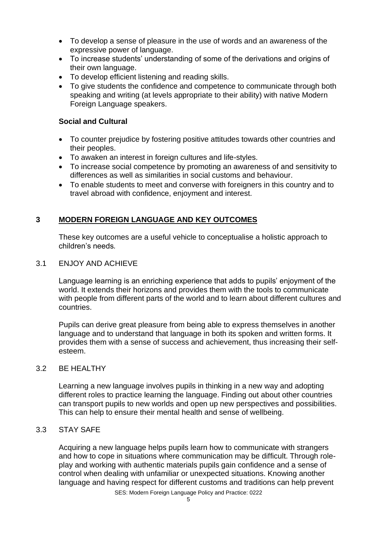- To develop a sense of pleasure in the use of words and an awareness of the expressive power of language.
- To increase students' understanding of some of the derivations and origins of their own language.
- To develop efficient listening and reading skills.
- To give students the confidence and competence to communicate through both speaking and writing (at levels appropriate to their ability) with native Modern Foreign Language speakers.

# **Social and Cultural**

- To counter prejudice by fostering positive attitudes towards other countries and their peoples.
- To awaken an interest in foreign cultures and life-styles.
- To increase social competence by promoting an awareness of and sensitivity to differences as well as similarities in social customs and behaviour.
- To enable students to meet and converse with foreigners in this country and to travel abroad with confidence, enjoyment and interest.

# **3 MODERN FOREIGN LANGUAGE AND KEY OUTCOMES**

These key outcomes are a useful vehicle to conceptualise a holistic approach to children's needs*.*

#### 3.1 ENJOY AND ACHIEVE

Language learning is an enriching experience that adds to pupils' enjoyment of the world. It extends their horizons and provides them with the tools to communicate with people from different parts of the world and to learn about different cultures and countries.

Pupils can derive great pleasure from being able to express themselves in another language and to understand that language in both its spoken and written forms. It provides them with a sense of success and achievement, thus increasing their selfesteem.

#### 3.2 BE HEALTHY

Learning a new language involves pupils in thinking in a new way and adopting different roles to practice learning the language. Finding out about other countries can transport pupils to new worlds and open up new perspectives and possibilities. This can help to ensure their mental health and sense of wellbeing.

#### 3.3 STAY SAFE

Acquiring a new language helps pupils learn how to communicate with strangers and how to cope in situations where communication may be difficult. Through roleplay and working with authentic materials pupils gain confidence and a sense of control when dealing with unfamiliar or unexpected situations. Knowing another language and having respect for different customs and traditions can help prevent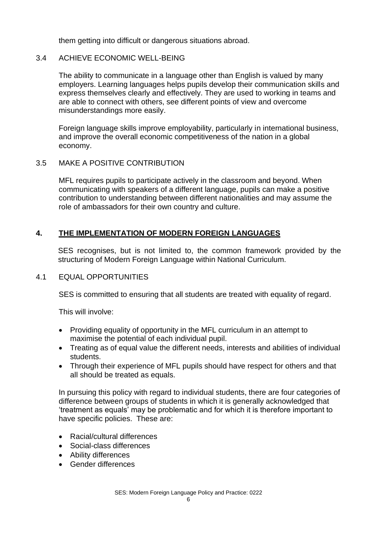them getting into difficult or dangerous situations abroad.

## 3.4 ACHIEVE ECONOMIC WELL-BEING

The ability to communicate in a language other than English is valued by many employers. Learning languages helps pupils develop their communication skills and express themselves clearly and effectively. They are used to working in teams and are able to connect with others, see different points of view and overcome misunderstandings more easily.

Foreign language skills improve employability, particularly in international business, and improve the overall economic competitiveness of the nation in a global economy.

#### 3.5 MAKE A POSITIVE CONTRIBUTION

MFL requires pupils to participate actively in the classroom and beyond. When communicating with speakers of a different language, pupils can make a positive contribution to understanding between different nationalities and may assume the role of ambassadors for their own country and culture.

# **4. THE IMPLEMENTATION OF MODERN FOREIGN LANGUAGES**

SES recognises, but is not limited to, the common framework provided by the structuring of Modern Foreign Language within National Curriculum.

#### 4.1 EQUAL OPPORTUNITIES

SES is committed to ensuring that all students are treated with equality of regard.

This will involve:

- Providing equality of opportunity in the MFL curriculum in an attempt to maximise the potential of each individual pupil.
- Treating as of equal value the different needs, interests and abilities of individual students.
- Through their experience of MFL pupils should have respect for others and that all should be treated as equals.

In pursuing this policy with regard to individual students, there are four categories of difference between groups of students in which it is generally acknowledged that 'treatment as equals' may be problematic and for which it is therefore important to have specific policies. These are:

- Racial/cultural differences
- Social-class differences
- Ability differences
- Gender differences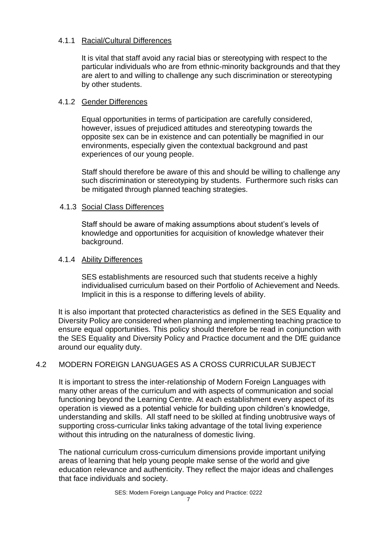## 4.1.1 Racial/Cultural Differences

It is vital that staff avoid any racial bias or stereotyping with respect to the particular individuals who are from ethnic-minority backgrounds and that they are alert to and willing to challenge any such discrimination or stereotyping by other students.

# 4.1.2 Gender Differences

Equal opportunities in terms of participation are carefully considered, however, issues of prejudiced attitudes and stereotyping towards the opposite sex can be in existence and can potentially be magnified in our environments, especially given the contextual background and past experiences of our young people.

Staff should therefore be aware of this and should be willing to challenge any such discrimination or stereotyping by students. Furthermore such risks can be mitigated through planned teaching strategies.

# 4.1.3 Social Class Differences

Staff should be aware of making assumptions about student's levels of knowledge and opportunities for acquisition of knowledge whatever their background.

# 4.1.4 Ability Differences

SES establishments are resourced such that students receive a highly individualised curriculum based on their Portfolio of Achievement and Needs. Implicit in this is a response to differing levels of ability.

It is also important that protected characteristics as defined in the SES Equality and Diversity Policy are considered when planning and implementing teaching practice to ensure equal opportunities. This policy should therefore be read in conjunction with the SES Equality and Diversity Policy and Practice document and the DfE guidance around our equality duty.

# 4.2 MODERN FOREIGN LANGUAGES AS A CROSS CURRICULAR SUBJECT

It is important to stress the inter-relationship of Modern Foreign Languages with many other areas of the curriculum and with aspects of communication and social functioning beyond the Learning Centre. At each establishment every aspect of its operation is viewed as a potential vehicle for building upon children's knowledge, understanding and skills. All staff need to be skilled at finding unobtrusive ways of supporting cross-curricular links taking advantage of the total living experience without this intruding on the naturalness of domestic living.

The national curriculum cross-curriculum dimensions provide important unifying areas of learning that help young people make sense of the world and give education relevance and authenticity. They reflect the major ideas and challenges that face individuals and society.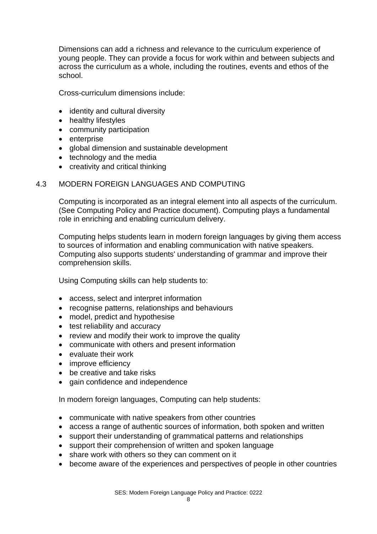Dimensions can add a richness and relevance to the curriculum experience of young people. They can provide a focus for work within and between subjects and across the curriculum as a whole, including the routines, events and ethos of the school.

Cross-curriculum dimensions include:

- identity and cultural diversity
- healthy lifestyles
- community participation
- enterprise
- global dimension and sustainable development
- technology and the media
- creativity and critical thinking

# 4.3 MODERN FOREIGN LANGUAGES AND COMPUTING

Computing is incorporated as an integral element into all aspects of the curriculum. (See Computing Policy and Practice document). Computing plays a fundamental role in enriching and enabling curriculum delivery.

Computing helps students learn in modern foreign languages by giving them access to sources of information and enabling communication with native speakers. Computing also supports students' understanding of grammar and improve their comprehension skills.

Using Computing skills can help students to:

- access, select and interpret information
- recognise patterns, relationships and behaviours
- model, predict and hypothesise
- test reliability and accuracy
- review and modify their work to improve the quality
- communicate with others and present information
- evaluate their work
- improve efficiency
- be creative and take risks
- gain confidence and independence

In modern foreign languages, Computing can help students:

- communicate with native speakers from other countries
- access a range of authentic sources of information, both spoken and written
- support their understanding of grammatical patterns and relationships
- support their comprehension of written and spoken language
- share work with others so they can comment on it
- become aware of the experiences and perspectives of people in other countries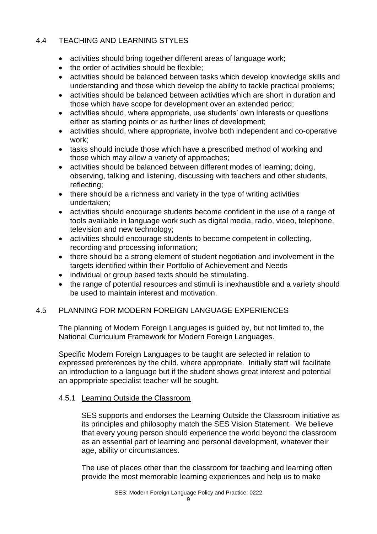# 4.4 TEACHING AND LEARNING STYLES

- activities should bring together different areas of language work;
- the order of activities should be flexible:
- activities should be balanced between tasks which develop knowledge skills and understanding and those which develop the ability to tackle practical problems;
- activities should be balanced between activities which are short in duration and those which have scope for development over an extended period;
- activities should, where appropriate, use students' own interests or questions either as starting points or as further lines of development;
- activities should, where appropriate, involve both independent and co-operative work;
- tasks should include those which have a prescribed method of working and those which may allow a variety of approaches;
- activities should be balanced between different modes of learning; doing, observing, talking and listening, discussing with teachers and other students, reflecting;
- there should be a richness and variety in the type of writing activities undertaken;
- activities should encourage students become confident in the use of a range of tools available in language work such as digital media, radio, video, telephone, television and new technology;
- activities should encourage students to become competent in collecting, recording and processing information;
- there should be a strong element of student negotiation and involvement in the targets identified within their Portfolio of Achievement and Needs
- individual or group based texts should be stimulating.
- the range of potential resources and stimuli is inexhaustible and a variety should be used to maintain interest and motivation.

# 4.5 PLANNING FOR MODERN FOREIGN LANGUAGE EXPERIENCES

The planning of Modern Foreign Languages is guided by, but not limited to, the National Curriculum Framework for Modern Foreign Languages.

Specific Modern Foreign Languages to be taught are selected in relation to expressed preferences by the child, where appropriate. Initially staff will facilitate an introduction to a language but if the student shows great interest and potential an appropriate specialist teacher will be sought.

#### 4.5.1 Learning Outside the Classroom

SES supports and endorses the Learning Outside the Classroom initiative as its principles and philosophy match the SES Vision Statement. We believe that every young person should experience the world beyond the classroom as an essential part of learning and personal development, whatever their age, ability or circumstances.

The use of places other than the classroom for teaching and learning often provide the most memorable learning experiences and help us to make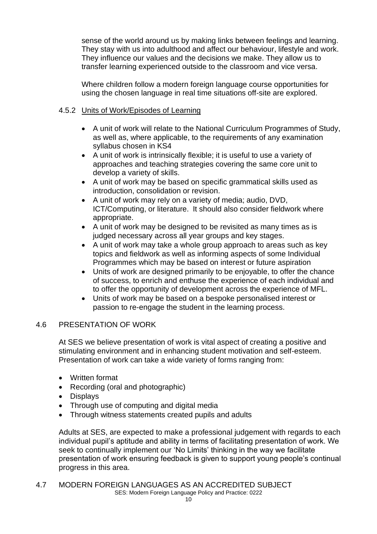sense of the world around us by making links between feelings and learning. They stay with us into adulthood and affect our behaviour, lifestyle and work. They influence our values and the decisions we make. They allow us to transfer learning experienced outside to the classroom and vice versa.

Where children follow a modern foreign language course opportunities for using the chosen language in real time situations off-site are explored.

# 4.5.2 Units of Work/Episodes of Learning

- A unit of work will relate to the National Curriculum Programmes of Study, as well as, where applicable, to the requirements of any examination syllabus chosen in KS4
- A unit of work is intrinsically flexible; it is useful to use a variety of approaches and teaching strategies covering the same core unit to develop a variety of skills.
- A unit of work may be based on specific grammatical skills used as introduction, consolidation or revision.
- A unit of work may rely on a variety of media; audio, DVD, ICT/Computing, or literature. It should also consider fieldwork where appropriate.
- A unit of work may be designed to be revisited as many times as is judged necessary across all year groups and key stages.
- A unit of work may take a whole group approach to areas such as key topics and fieldwork as well as informing aspects of some Individual Programmes which may be based on interest or future aspiration
- Units of work are designed primarily to be enjoyable, to offer the chance of success, to enrich and enthuse the experience of each individual and to offer the opportunity of development across the experience of MFL.
- Units of work may be based on a bespoke personalised interest or passion to re-engage the student in the learning process.

#### 4.6 PRESENTATION OF WORK

At SES we believe presentation of work is vital aspect of creating a positive and stimulating environment and in enhancing student motivation and self-esteem. Presentation of work can take a wide variety of forms ranging from:

- Written format
- Recording (oral and photographic)
- Displays
- Through use of computing and digital media
- Through witness statements created pupils and adults

Adults at SES, are expected to make a professional judgement with regards to each individual pupil's aptitude and ability in terms of facilitating presentation of work. We seek to continually implement our 'No Limits' thinking in the way we facilitate presentation of work ensuring feedback is given to support young people's continual progress in this area.

SES: Modern Foreign Language Policy and Practice: 0222 4.7 MODERN FOREIGN LANGUAGES AS AN ACCREDITED SUBJECT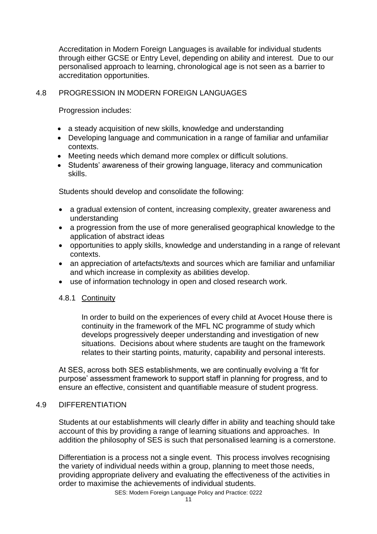Accreditation in Modern Foreign Languages is available for individual students through either GCSE or Entry Level, depending on ability and interest. Due to our personalised approach to learning, chronological age is not seen as a barrier to accreditation opportunities.

# 4.8 PROGRESSION IN MODERN FOREIGN LANGUAGES

Progression includes:

- a steady acquisition of new skills, knowledge and understanding
- Developing language and communication in a range of familiar and unfamiliar contexts.
- Meeting needs which demand more complex or difficult solutions.
- Students' awareness of their growing language, literacy and communication skills.

Students should develop and consolidate the following:

- a gradual extension of content, increasing complexity, greater awareness and understanding
- a progression from the use of more generalised geographical knowledge to the application of abstract ideas
- opportunities to apply skills, knowledge and understanding in a range of relevant contexts.
- an appreciation of artefacts/texts and sources which are familiar and unfamiliar and which increase in complexity as abilities develop.
- use of information technology in open and closed research work.

#### 4.8.1 Continuity

In order to build on the experiences of every child at Avocet House there is continuity in the framework of the MFL NC programme of study which develops progressively deeper understanding and investigation of new situations. Decisions about where students are taught on the framework relates to their starting points, maturity, capability and personal interests.

At SES, across both SES establishments, we are continually evolving a 'fit for purpose' assessment framework to support staff in planning for progress, and to ensure an effective, consistent and quantifiable measure of student progress.

#### 4.9 DIFFERENTIATION

Students at our establishments will clearly differ in ability and teaching should take account of this by providing a range of learning situations and approaches. In addition the philosophy of SES is such that personalised learning is a cornerstone.

Differentiation is a process not a single event. This process involves recognising the variety of individual needs within a group, planning to meet those needs, providing appropriate delivery and evaluating the effectiveness of the activities in order to maximise the achievements of individual students.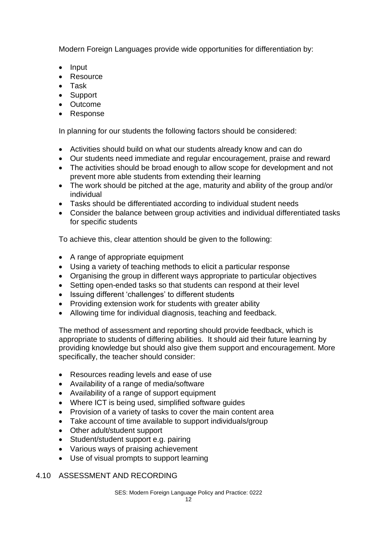Modern Foreign Languages provide wide opportunities for differentiation by:

- Input
- **Resource**
- Task
- Support
- Outcome
- Response

In planning for our students the following factors should be considered:

- Activities should build on what our students already know and can do
- Our students need immediate and regular encouragement, praise and reward
- The activities should be broad enough to allow scope for development and not prevent more able students from extending their learning
- The work should be pitched at the age, maturity and ability of the group and/or individual
- Tasks should be differentiated according to individual student needs
- Consider the balance between group activities and individual differentiated tasks for specific students

To achieve this, clear attention should be given to the following:

- A range of appropriate equipment
- Using a variety of teaching methods to elicit a particular response
- Organising the group in different ways appropriate to particular objectives
- Setting open-ended tasks so that students can respond at their level
- Issuing different 'challenges' to different students
- Providing extension work for students with greater ability
- Allowing time for individual diagnosis, teaching and feedback.

The method of assessment and reporting should provide feedback, which is appropriate to students of differing abilities. It should aid their future learning by providing knowledge but should also give them support and encouragement. More specifically, the teacher should consider:

- Resources reading levels and ease of use
- Availability of a range of media/software
- Availability of a range of support equipment
- Where ICT is being used, simplified software guides
- Provision of a variety of tasks to cover the main content area
- Take account of time available to support individuals/group
- Other adult/student support
- Student/student support e.g. pairing
- Various ways of praising achievement
- Use of visual prompts to support learning

#### 4.10 ASSESSMENT AND RECORDING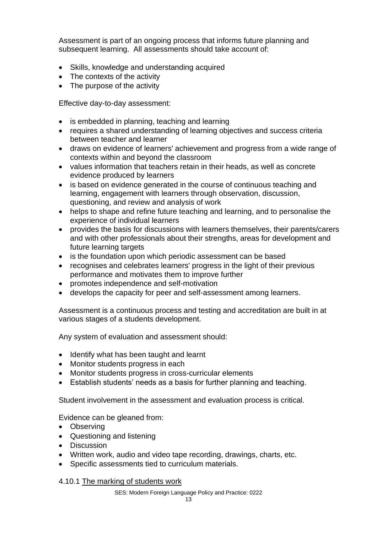Assessment is part of an ongoing process that informs future planning and subsequent learning. All assessments should take account of:

- Skills, knowledge and understanding acquired
- The contexts of the activity
- The purpose of the activity

Effective day-to-day assessment:

- is embedded in planning, teaching and learning
- requires a shared understanding of learning objectives and success criteria between teacher and learner
- draws on evidence of learners' achievement and progress from a wide range of contexts within and beyond the classroom
- values information that teachers retain in their heads, as well as concrete evidence produced by learners
- is based on evidence generated in the course of continuous teaching and learning, engagement with learners through observation, discussion, questioning, and review and analysis of work
- helps to shape and refine future teaching and learning, and to personalise the experience of individual learners
- provides the basis for discussions with learners themselves, their parents/carers and with other professionals about their strengths, areas for development and future learning targets
- is the foundation upon which periodic assessment can be based
- recognises and celebrates learners' progress in the light of their previous performance and motivates them to improve further
- promotes independence and self-motivation
- develops the capacity for peer and self-assessment among learners.

Assessment is a continuous process and testing and accreditation are built in at various stages of a students development.

Any system of evaluation and assessment should:

- Identify what has been taught and learnt
- Monitor students progress in each
- Monitor students progress in cross-curricular elements
- Establish students' needs as a basis for further planning and teaching.

Student involvement in the assessment and evaluation process is critical.

Evidence can be gleaned from:

- Observing
- Questioning and listening
- Discussion
- Written work, audio and video tape recording, drawings, charts, etc.
- Specific assessments tied to curriculum materials.

4.10.1 The marking of students work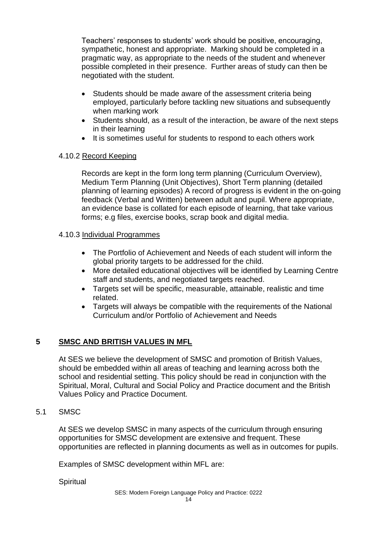Teachers' responses to students' work should be positive, encouraging, sympathetic, honest and appropriate. Marking should be completed in a pragmatic way, as appropriate to the needs of the student and whenever possible completed in their presence. Further areas of study can then be negotiated with the student.

- Students should be made aware of the assessment criteria being employed, particularly before tackling new situations and subsequently when marking work
- Students should, as a result of the interaction, be aware of the next steps in their learning
- It is sometimes useful for students to respond to each others work

# 4.10.2 Record Keeping

Records are kept in the form long term planning (Curriculum Overview), Medium Term Planning (Unit Objectives), Short Term planning (detailed planning of learning episodes) A record of progress is evident in the on-going feedback (Verbal and Written) between adult and pupil. Where appropriate, an evidence base is collated for each episode of learning, that take various forms; e.g files, exercise books, scrap book and digital media.

#### 4.10.3 Individual Programmes

- The Portfolio of Achievement and Needs of each student will inform the global priority targets to be addressed for the child.
- More detailed educational objectives will be identified by Learning Centre staff and students, and negotiated targets reached.
- Targets set will be specific, measurable, attainable, realistic and time related.
- Targets will always be compatible with the requirements of the National Curriculum and/or Portfolio of Achievement and Needs

# **5 SMSC AND BRITISH VALUES IN MFL**

At SES we believe the development of SMSC and promotion of British Values, should be embedded within all areas of teaching and learning across both the school and residential setting. This policy should be read in conjunction with the Spiritual, Moral, Cultural and Social Policy and Practice document and the British Values Policy and Practice Document.

#### 5.1 SMSC

At SES we develop SMSC in many aspects of the curriculum through ensuring opportunities for SMSC development are extensive and frequent. These opportunities are reflected in planning documents as well as in outcomes for pupils.

Examples of SMSC development within MFL are:

**Spiritual**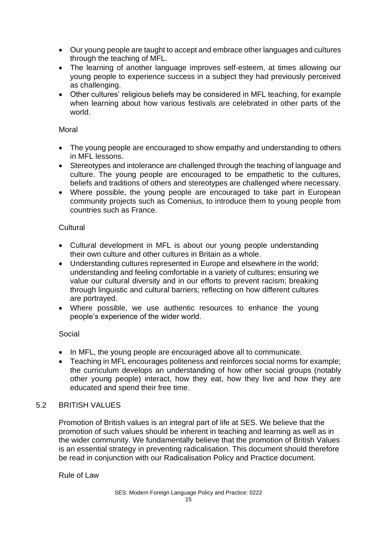- Our young people are taught to accept and embrace other languages and cultures through the teaching of MFL.
- The learning of another language improves self-esteem, at times allowing our young people to experience success in a subject they had previously perceived as challenging.
- Other cultures' religious beliefs may be considered in MFL teaching, for example when learning about how various festivals are celebrated in other parts of the world.

#### Moral

- The young people are encouraged to show empathy and understanding to others in MFL lessons.
- Stereotypes and intolerance are challenged through the teaching of language and culture. The young people are encouraged to be empathetic to the cultures, beliefs and traditions of others and stereotypes are challenged where necessary.
- Where possible, the young people are encouraged to take part in European community projects such as Comenius, to introduce them to young people from countries such as France.

#### **Cultural**

- Cultural development in MFL is about our young people understanding their own culture and other cultures in Britain as a whole.
- Understanding cultures represented in Europe and elsewhere in the world; understanding and feeling comfortable in a variety of cultures; ensuring we value our cultural diversity and in our efforts to prevent racism; breaking through linguistic and cultural barriers; reflecting on how different cultures are portrayed.
- Where possible, we use authentic resources to enhance the young people's experience of the wider world.

# Social

- In MFL, the young people are encouraged above all to communicate.
- Teaching in MFL encourages politeness and reinforces social norms for example; the curriculum develops an understanding of how other social groups (notably other young people) interact, how they eat, how they live and how they are educated and spend their free time.

# 5.2 BRITISH VALUES

Promotion of British values is an integral part of life at SES. We believe that the promotion of such values should be inherent in teaching and learning as well as in the wider community. We fundamentally believe that the promotion of British Values is an essential strategy in preventing radicalisation. This document should therefore be read in conjunction with our Radicalisation Policy and Practice document.

Rule of Law